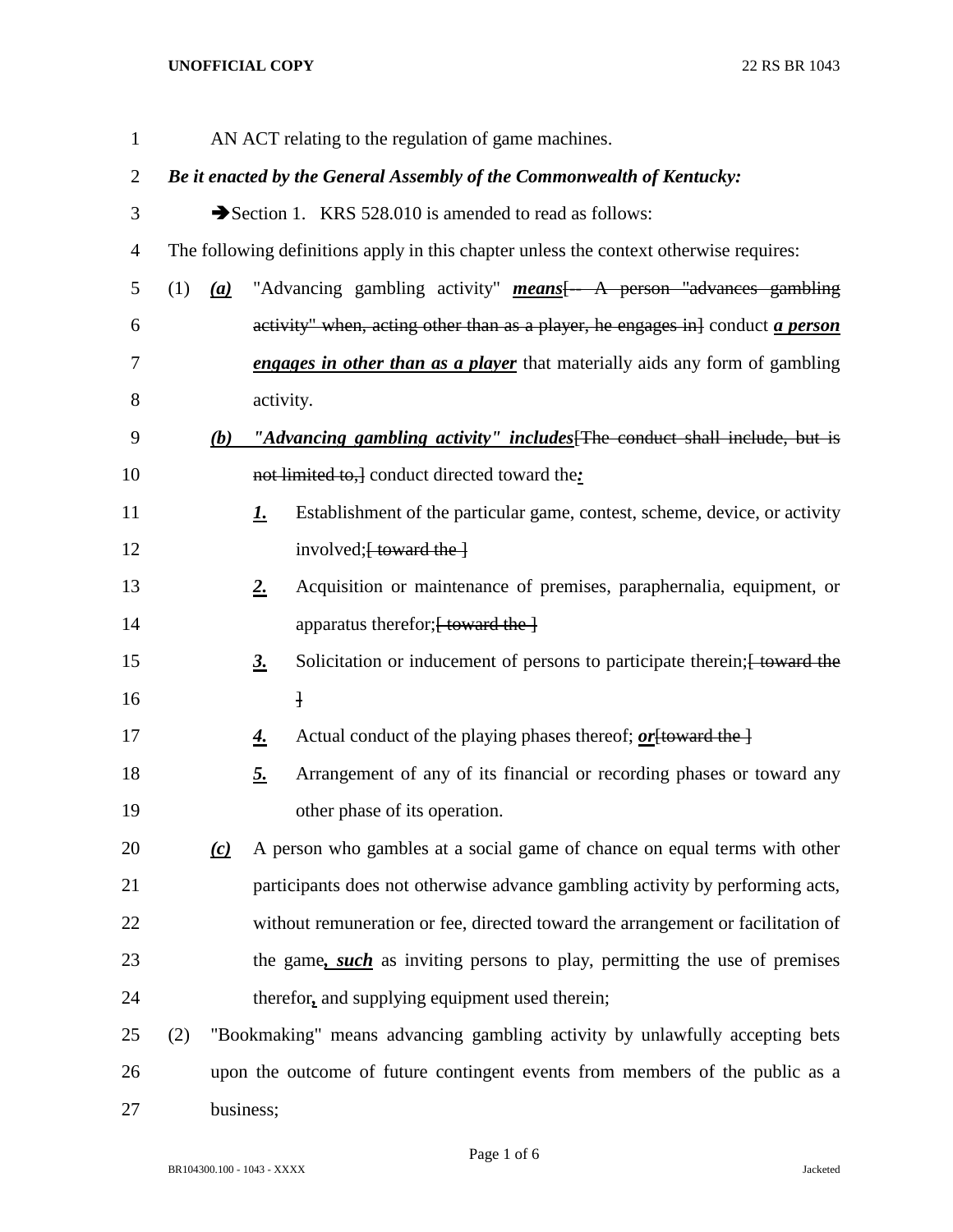## **UNOFFICIAL COPY** 22 RS BR 1043

| $\mathbf{1}$   |                                                                              |                                                                                        |                   | AN ACT relating to the regulation of game machines.                                                 |  |  |  |
|----------------|------------------------------------------------------------------------------|----------------------------------------------------------------------------------------|-------------------|-----------------------------------------------------------------------------------------------------|--|--|--|
| 2              |                                                                              | Be it enacted by the General Assembly of the Commonwealth of Kentucky:                 |                   |                                                                                                     |  |  |  |
| 3              |                                                                              |                                                                                        |                   | Section 1. KRS 528.010 is amended to read as follows:                                               |  |  |  |
| $\overline{4}$ |                                                                              | The following definitions apply in this chapter unless the context otherwise requires: |                   |                                                                                                     |  |  |  |
| 5              | (1)                                                                          | (a)                                                                                    |                   | "Advancing gambling activity" <b>means</b> $\left\{-\frac{A}{A}\right\}$ person "advances gambling" |  |  |  |
| 6              |                                                                              |                                                                                        |                   | activity" when, acting other than as a player, he engages in } conduct <i>a person</i>              |  |  |  |
| 7              |                                                                              |                                                                                        |                   | <b>engages in other than as a player</b> that materially aids any form of gambling                  |  |  |  |
| 8              |                                                                              |                                                                                        | activity.         |                                                                                                     |  |  |  |
| 9              |                                                                              | (b)                                                                                    |                   | "Advancing gambling activity" includes [The conduct shall include, but is                           |  |  |  |
| 10             |                                                                              |                                                                                        |                   | not limited to, conduct directed toward the:                                                        |  |  |  |
| 11             |                                                                              |                                                                                        | <u>1.</u>         | Establishment of the particular game, contest, scheme, device, or activity                          |  |  |  |
| 12             |                                                                              |                                                                                        |                   | involved; [ toward the ]                                                                            |  |  |  |
| 13             |                                                                              |                                                                                        | 2.                | Acquisition or maintenance of premises, paraphernalia, equipment, or                                |  |  |  |
| 14             |                                                                              |                                                                                        |                   | apparatus therefor; [ toward the ]                                                                  |  |  |  |
| 15             |                                                                              |                                                                                        | $\underline{3}$ . | Solicitation or inducement of persons to participate therein; [ toward the                          |  |  |  |
| 16             |                                                                              |                                                                                        |                   | $\mathbf{H}$                                                                                        |  |  |  |
| 17             |                                                                              |                                                                                        | <u>4.</u>         | Actual conduct of the playing phases thereof; <i>or</i> [toward the ]                               |  |  |  |
| 18             |                                                                              |                                                                                        | <u>5.</u>         | Arrangement of any of its financial or recording phases or toward any                               |  |  |  |
| 19             |                                                                              |                                                                                        |                   | other phase of its operation.                                                                       |  |  |  |
| 20             |                                                                              | (c)                                                                                    |                   | A person who gambles at a social game of chance on equal terms with other                           |  |  |  |
| 21             |                                                                              |                                                                                        |                   | participants does not otherwise advance gambling activity by performing acts,                       |  |  |  |
| 22             |                                                                              |                                                                                        |                   | without remuneration or fee, directed toward the arrangement or facilitation of                     |  |  |  |
| 23             |                                                                              |                                                                                        |                   | the game, <i>such</i> as inviting persons to play, permitting the use of premises                   |  |  |  |
| 24             |                                                                              |                                                                                        |                   | therefor, and supplying equipment used therein;                                                     |  |  |  |
| 25             | (2)                                                                          |                                                                                        |                   | "Bookmaking" means advancing gambling activity by unlawfully accepting bets                         |  |  |  |
| 26             | upon the outcome of future contingent events from members of the public as a |                                                                                        |                   |                                                                                                     |  |  |  |
| 27             |                                                                              | business;                                                                              |                   |                                                                                                     |  |  |  |

Page 1 of 6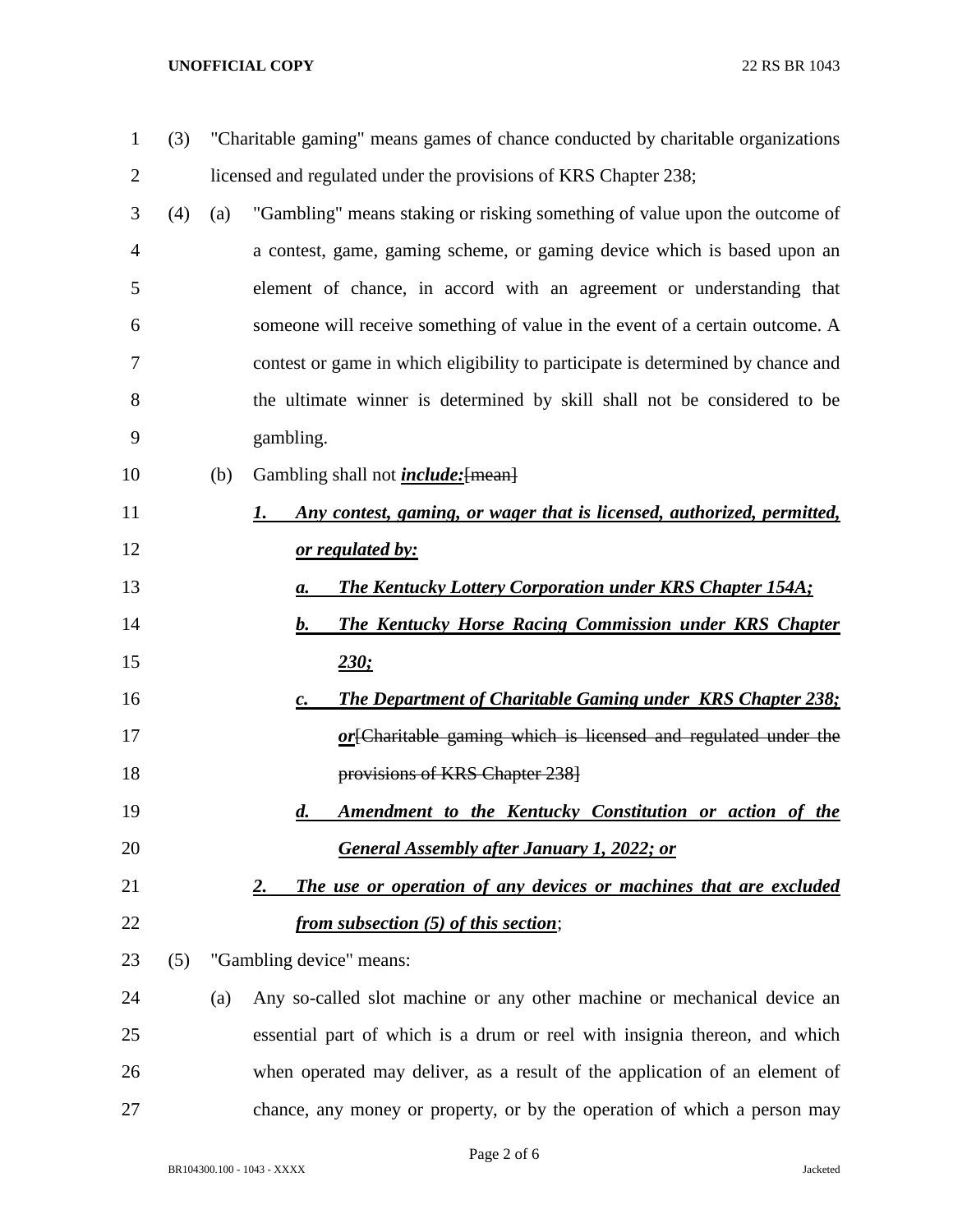## **UNOFFICIAL COPY** 22 RS BR 1043

| (3) | "Charitable gaming" means games of chance conducted by charitable organizations |                                                                                      |
|-----|---------------------------------------------------------------------------------|--------------------------------------------------------------------------------------|
|     |                                                                                 | licensed and regulated under the provisions of KRS Chapter 238;                      |
| (4) | (a)                                                                             | "Gambling" means staking or risking something of value upon the outcome of           |
|     |                                                                                 | a contest, game, gaming scheme, or gaming device which is based upon an              |
|     |                                                                                 | element of chance, in accord with an agreement or understanding that                 |
|     |                                                                                 | someone will receive something of value in the event of a certain outcome. A         |
|     |                                                                                 | contest or game in which eligibility to participate is determined by chance and      |
|     |                                                                                 | the ultimate winner is determined by skill shall not be considered to be             |
|     |                                                                                 | gambling.                                                                            |
|     | (b)                                                                             | Gambling shall not <i>include</i> : [mean]                                           |
|     |                                                                                 | Any contest, gaming, or wager that is licensed, authorized, permitted,<br>1.         |
|     |                                                                                 | <u>or regulated by:</u>                                                              |
|     |                                                                                 | <b>The Kentucky Lottery Corporation under KRS Chapter 154A;</b><br>а.                |
|     |                                                                                 | <b>The Kentucky Horse Racing Commission under KRS Chapter</b><br>$\bm{b}$ .          |
|     |                                                                                 | 230:                                                                                 |
|     |                                                                                 | <b>The Department of Charitable Gaming under KRS Chapter 238:</b><br>$\mathcal{C}$ . |
|     |                                                                                 | or [Charitable gaming which is licensed and regulated under the                      |
|     |                                                                                 | provisions of KRS Chapter 238]                                                       |
|     |                                                                                 | Amendment to the Kentucky Constitution or action of the<br>$\boldsymbol{d}$ .        |
|     |                                                                                 | <b>General Assembly after January 1, 2022; or</b>                                    |
|     |                                                                                 | The use or operation of any devices or machines that are excluded<br><u>2.</u>       |
|     |                                                                                 | <i>from subsection (5) of this section;</i>                                          |
| (5) |                                                                                 | "Gambling device" means:                                                             |
|     | (a)                                                                             | Any so-called slot machine or any other machine or mechanical device an              |
|     |                                                                                 | essential part of which is a drum or reel with insignia thereon, and which           |
|     |                                                                                 | when operated may deliver, as a result of the application of an element of           |
|     |                                                                                 |                                                                                      |

BR104300.100 - 1043 - XXXX Jacketed

Page 2 of 6

chance, any money or property, or by the operation of which a person may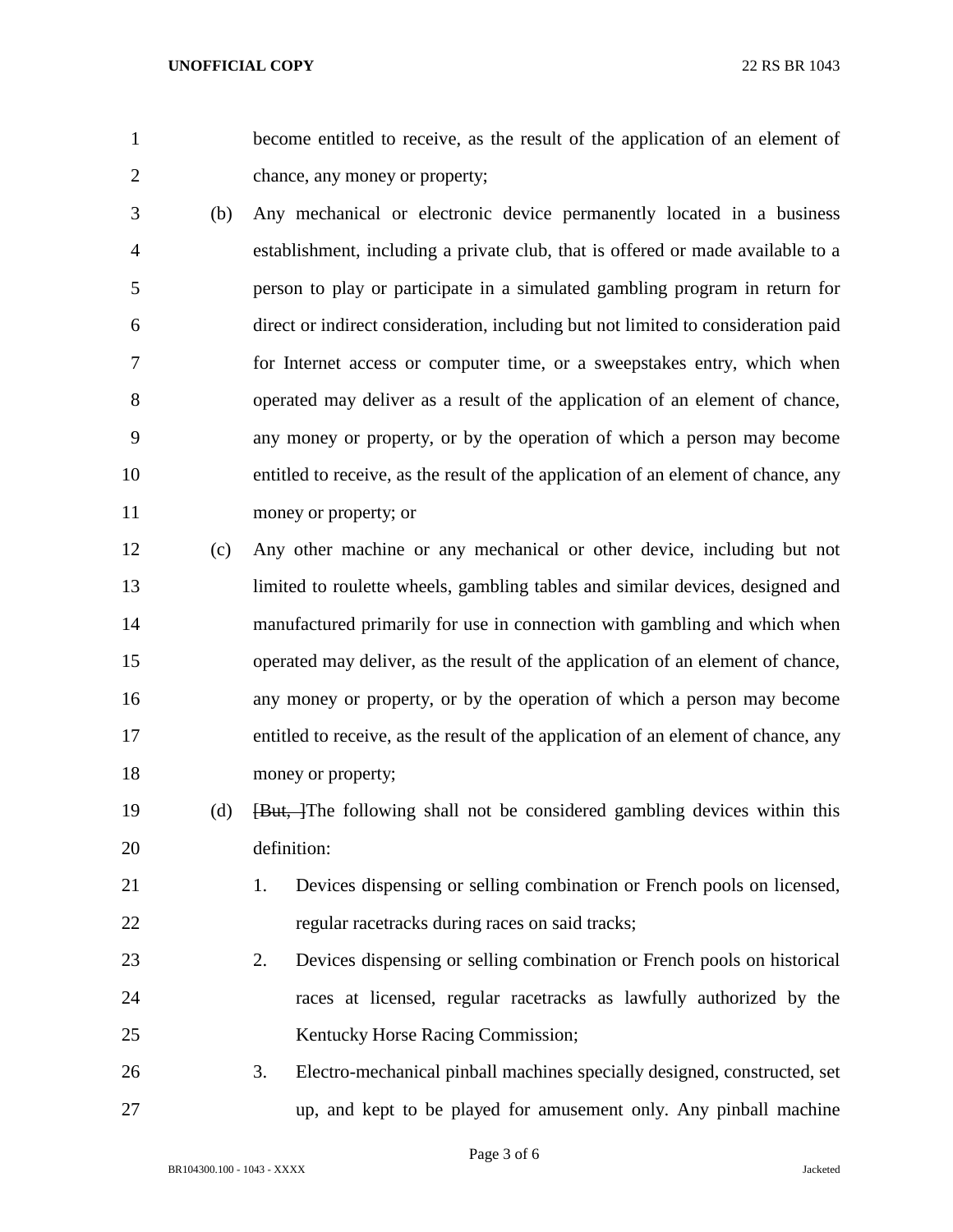become entitled to receive, as the result of the application of an element of chance, any money or property;

- (b) Any mechanical or electronic device permanently located in a business establishment, including a private club, that is offered or made available to a person to play or participate in a simulated gambling program in return for direct or indirect consideration, including but not limited to consideration paid for Internet access or computer time, or a sweepstakes entry, which when operated may deliver as a result of the application of an element of chance, any money or property, or by the operation of which a person may become entitled to receive, as the result of the application of an element of chance, any money or property; or
- (c) Any other machine or any mechanical or other device, including but not limited to roulette wheels, gambling tables and similar devices, designed and manufactured primarily for use in connection with gambling and which when operated may deliver, as the result of the application of an element of chance, any money or property, or by the operation of which a person may become entitled to receive, as the result of the application of an element of chance, any 18 money or property;
- 19 (d) <del>[But, ]</del>The following shall not be considered gambling devices within this definition:
- 1. Devices dispensing or selling combination or French pools on licensed, regular racetracks during races on said tracks;
- 2. Devices dispensing or selling combination or French pools on historical races at licensed, regular racetracks as lawfully authorized by the Kentucky Horse Racing Commission;
- 3. Electro-mechanical pinball machines specially designed, constructed, set up, and kept to be played for amusement only. Any pinball machine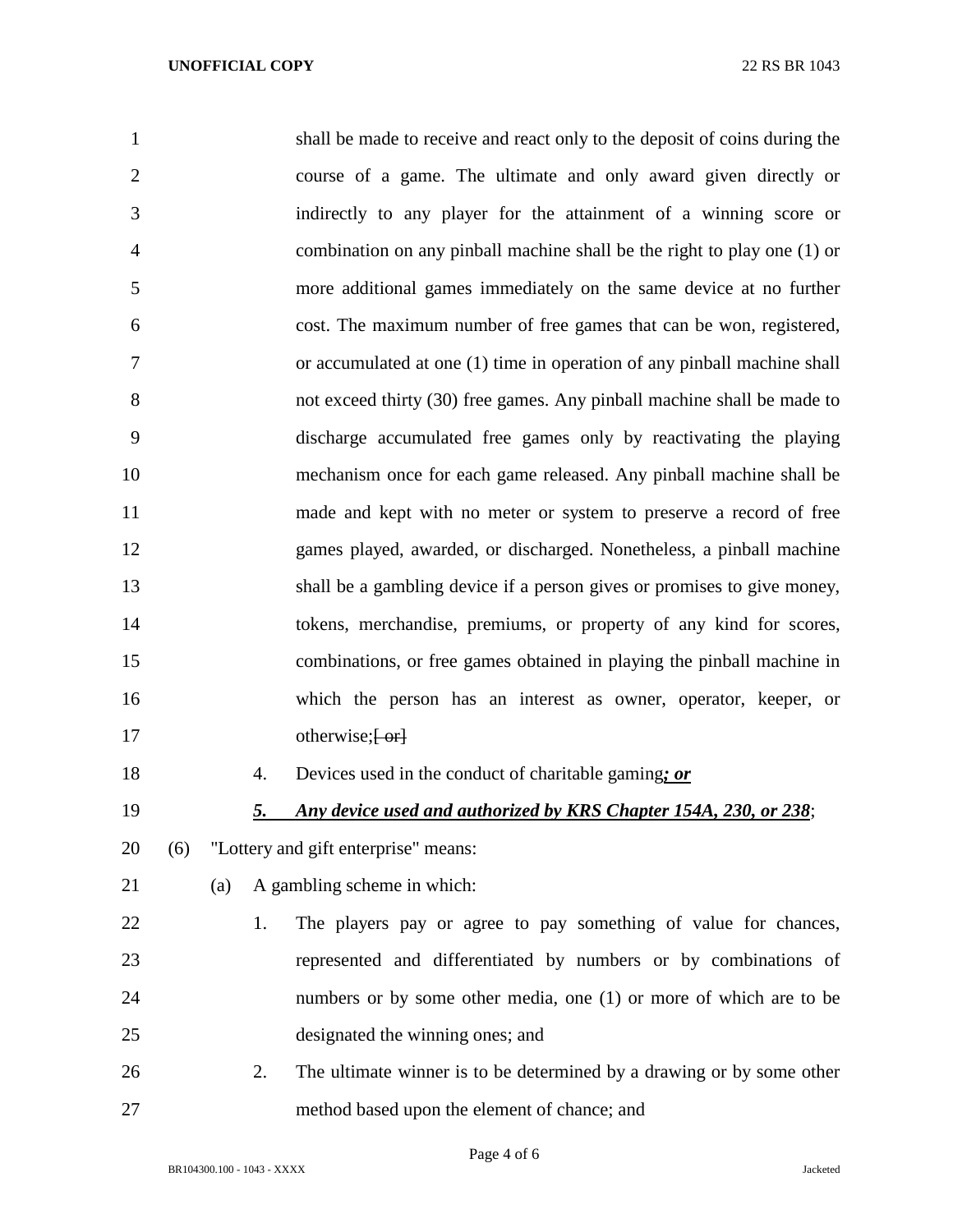| $\mathbf{1}$   |     |           | shall be made to receive and react only to the deposit of coins during the |
|----------------|-----|-----------|----------------------------------------------------------------------------|
| $\overline{2}$ |     |           | course of a game. The ultimate and only award given directly or            |
| 3              |     |           | indirectly to any player for the attainment of a winning score or          |
| 4              |     |           | combination on any pinball machine shall be the right to play one (1) or   |
| 5              |     |           | more additional games immediately on the same device at no further         |
| 6              |     |           | cost. The maximum number of free games that can be won, registered,        |
| 7              |     |           | or accumulated at one (1) time in operation of any pinball machine shall   |
| 8              |     |           | not exceed thirty (30) free games. Any pinball machine shall be made to    |
| 9              |     |           | discharge accumulated free games only by reactivating the playing          |
| 10             |     |           | mechanism once for each game released. Any pinball machine shall be        |
| 11             |     |           | made and kept with no meter or system to preserve a record of free         |
| 12             |     |           | games played, awarded, or discharged. Nonetheless, a pinball machine       |
| 13             |     |           | shall be a gambling device if a person gives or promises to give money,    |
| 14             |     |           | tokens, merchandise, premiums, or property of any kind for scores,         |
| 15             |     |           | combinations, or free games obtained in playing the pinball machine in     |
| 16             |     |           | which the person has an interest as owner, operator, keeper, or            |
| 17             |     |           | otherwise; $\left\{ -\text{or} \right\}$                                   |
| 18             |     | 4.        | Devices used in the conduct of charitable gaming; or                       |
| 19             |     | <u>5.</u> | Any device used and authorized by KRS Chapter 154A, 230, or 238;           |
| 20             | (6) |           | "Lottery and gift enterprise" means:                                       |
| 21             |     | (a)       | A gambling scheme in which:                                                |
| 22             |     | 1.        | The players pay or agree to pay something of value for chances,            |
| 23             |     |           | represented and differentiated by numbers or by combinations of            |
| 24             |     |           | numbers or by some other media, one (1) or more of which are to be         |
| 25             |     |           | designated the winning ones; and                                           |
| 26             |     | 2.        | The ultimate winner is to be determined by a drawing or by some other      |
| 27             |     |           | method based upon the element of chance; and                               |

Page 4 of 6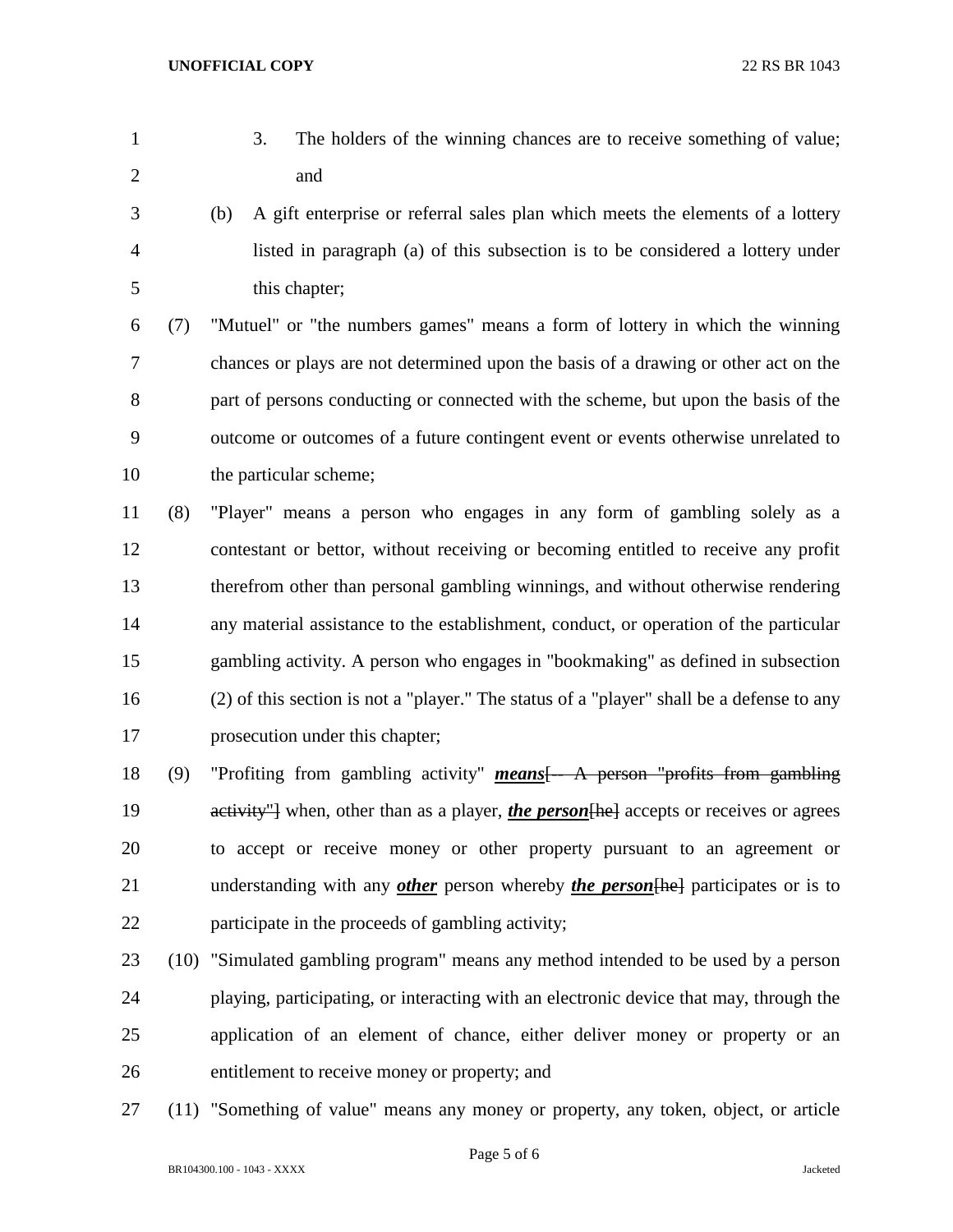- 
- 3. The holders of the winning chances are to receive something of value; and
- (b) A gift enterprise or referral sales plan which meets the elements of a lottery listed in paragraph (a) of this subsection is to be considered a lottery under this chapter;

 (7) "Mutuel" or "the numbers games" means a form of lottery in which the winning chances or plays are not determined upon the basis of a drawing or other act on the part of persons conducting or connected with the scheme, but upon the basis of the outcome or outcomes of a future contingent event or events otherwise unrelated to the particular scheme;

 (8) "Player" means a person who engages in any form of gambling solely as a contestant or bettor, without receiving or becoming entitled to receive any profit therefrom other than personal gambling winnings, and without otherwise rendering any material assistance to the establishment, conduct, or operation of the particular gambling activity. A person who engages in "bookmaking" as defined in subsection (2) of this section is not a "player." The status of a "player" shall be a defense to any prosecution under this chapter;

 (9) "Profiting from gambling activity" *means*[-- A person "profits from gambling 19 activity" when, other than as a player, *the person* [he] accepts or receives or agrees to accept or receive money or other property pursuant to an agreement or understanding with any *other* person whereby *the person*[he] participates or is to participate in the proceeds of gambling activity;

- (10) "Simulated gambling program" means any method intended to be used by a person playing, participating, or interacting with an electronic device that may, through the application of an element of chance, either deliver money or property or an entitlement to receive money or property; and
- (11) "Something of value" means any money or property, any token, object, or article